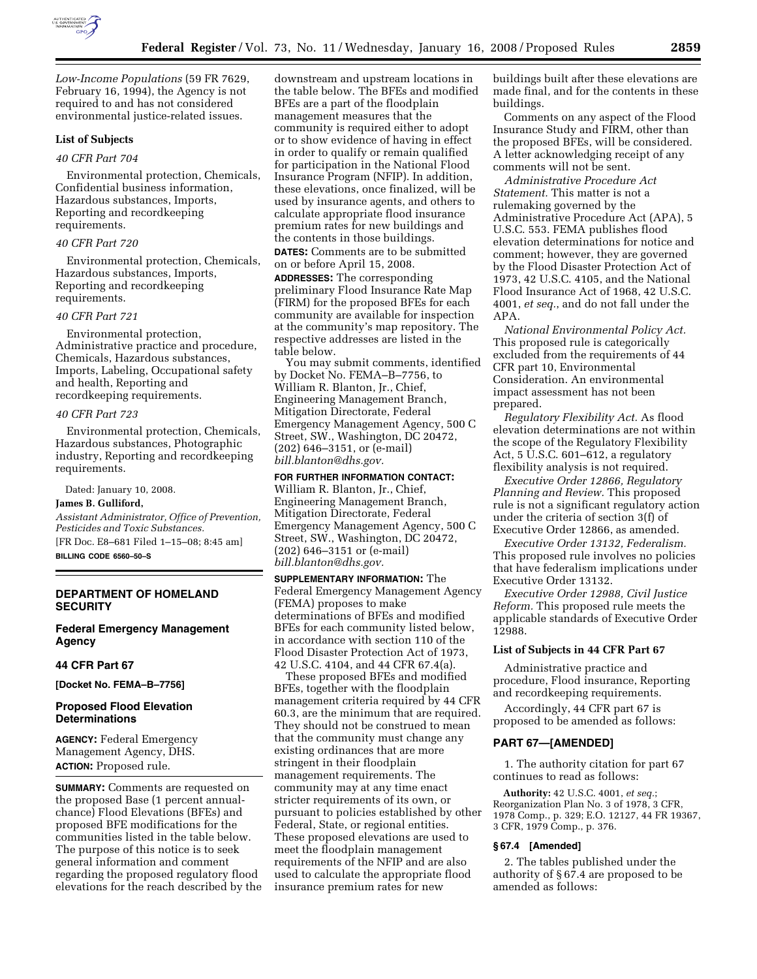

*Low-Income Populations* (59 FR 7629, February 16, 1994), the Agency is not required to and has not considered environmental justice-related issues.

### **List of Subjects**

#### *40 CFR Part 704*

Environmental protection, Chemicals, Confidential business information, Hazardous substances, Imports, Reporting and recordkeeping requirements.

#### *40 CFR Part 720*

Environmental protection, Chemicals, Hazardous substances, Imports, Reporting and recordkeeping requirements.

### *40 CFR Part 721*

Environmental protection, Administrative practice and procedure, Chemicals, Hazardous substances, Imports, Labeling, Occupational safety and health, Reporting and recordkeeping requirements.

#### *40 CFR Part 723*

Environmental protection, Chemicals, Hazardous substances, Photographic industry, Reporting and recordkeeping requirements.

Dated: January 10, 2008.

## **James B. Gulliford,**

*Assistant Administrator, Office of Prevention, Pesticides and Toxic Substances.*  [FR Doc. E8–681 Filed 1–15–08; 8:45 am] **BILLING CODE 6560–50–S** 

## **DEPARTMENT OF HOMELAND SECURITY**

**Federal Emergency Management Agency** 

## **44 CFR Part 67**

**[Docket No. FEMA–B–7756]** 

## **Proposed Flood Elevation Determinations**

**AGENCY:** Federal Emergency Management Agency, DHS. **ACTION:** Proposed rule.

**SUMMARY:** Comments are requested on the proposed Base (1 percent annualchance) Flood Elevations (BFEs) and proposed BFE modifications for the communities listed in the table below. The purpose of this notice is to seek general information and comment regarding the proposed regulatory flood elevations for the reach described by the downstream and upstream locations in the table below. The BFEs and modified BFEs are a part of the floodplain management measures that the community is required either to adopt or to show evidence of having in effect in order to qualify or remain qualified for participation in the National Flood Insurance Program (NFIP). In addition, these elevations, once finalized, will be used by insurance agents, and others to calculate appropriate flood insurance premium rates for new buildings and the contents in those buildings.

**DATES:** Comments are to be submitted on or before April 15, 2008.

**ADDRESSES:** The corresponding preliminary Flood Insurance Rate Map (FIRM) for the proposed BFEs for each community are available for inspection at the community's map repository. The respective addresses are listed in the table below.

You may submit comments, identified by Docket No. FEMA–B–7756, to William R. Blanton, Jr., Chief, Engineering Management Branch, Mitigation Directorate, Federal Emergency Management Agency, 500 C Street, SW., Washington, DC 20472, (202) 646–3151, or (e-mail) *bill.blanton@dhs.gov.* 

## **FOR FURTHER INFORMATION CONTACT:**

William R. Blanton, Jr., Chief, Engineering Management Branch, Mitigation Directorate, Federal Emergency Management Agency, 500 C Street, SW., Washington, DC 20472, (202) 646–3151 or (e-mail) *bill.blanton@dhs.gov.* 

**SUPPLEMENTARY INFORMATION:** The Federal Emergency Management Agency (FEMA) proposes to make determinations of BFEs and modified BFEs for each community listed below, in accordance with section 110 of the Flood Disaster Protection Act of 1973, 42 U.S.C. 4104, and 44 CFR 67.4(a).

These proposed BFEs and modified BFEs, together with the floodplain management criteria required by 44 CFR 60.3, are the minimum that are required. They should not be construed to mean that the community must change any existing ordinances that are more stringent in their floodplain management requirements. The community may at any time enact stricter requirements of its own, or pursuant to policies established by other Federal, State, or regional entities. These proposed elevations are used to meet the floodplain management requirements of the NFIP and are also used to calculate the appropriate flood insurance premium rates for new

buildings built after these elevations are made final, and for the contents in these buildings.

Comments on any aspect of the Flood Insurance Study and FIRM, other than the proposed BFEs, will be considered. A letter acknowledging receipt of any comments will not be sent.

*Administrative Procedure Act Statement.* This matter is not a rulemaking governed by the Administrative Procedure Act (APA), 5 U.S.C. 553. FEMA publishes flood elevation determinations for notice and comment; however, they are governed by the Flood Disaster Protection Act of 1973, 42 U.S.C. 4105, and the National Flood Insurance Act of 1968, 42 U.S.C. 4001, *et seq.*, and do not fall under the APA.

*National Environmental Policy Act.*  This proposed rule is categorically excluded from the requirements of 44 CFR part 10, Environmental Consideration. An environmental impact assessment has not been prepared.

*Regulatory Flexibility Act.* As flood elevation determinations are not within the scope of the Regulatory Flexibility Act, 5 U.S.C. 601–612, a regulatory flexibility analysis is not required.

*Executive Order 12866, Regulatory Planning and Review.* This proposed rule is not a significant regulatory action under the criteria of section 3(f) of Executive Order 12866, as amended.

*Executive Order 13132, Federalism.*  This proposed rule involves no policies that have federalism implications under Executive Order 13132.

*Executive Order 12988, Civil Justice Reform.* This proposed rule meets the applicable standards of Executive Order 12988.

### **List of Subjects in 44 CFR Part 67**

Administrative practice and procedure, Flood insurance, Reporting and recordkeeping requirements.

Accordingly, 44 CFR part 67 is proposed to be amended as follows:

#### **PART 67—[AMENDED]**

1. The authority citation for part 67 continues to read as follows:

**Authority:** 42 U.S.C. 4001, *et seq.*; Reorganization Plan No. 3 of 1978, 3 CFR, 1978 Comp., p. 329; E.O. 12127, 44 FR 19367, 3 CFR, 1979 Comp., p. 376.

#### **§ 67.4 [Amended]**

2. The tables published under the authority of § 67.4 are proposed to be amended as follows: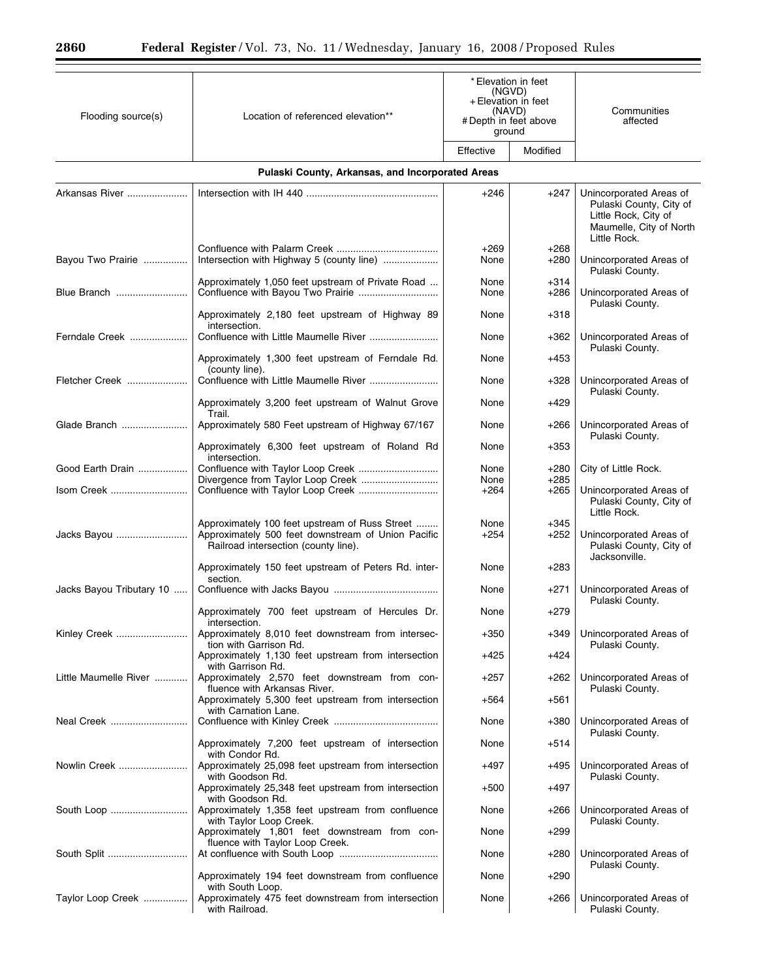| Flooding source(s)       | Location of referenced elevation**                                                                                                             | *Elevation in feet<br>(NGVD)<br>+ Elevation in feet<br>(NAVD)<br>#Depth in feet above<br>ground |                  | Communities<br>affected                                                                                               |
|--------------------------|------------------------------------------------------------------------------------------------------------------------------------------------|-------------------------------------------------------------------------------------------------|------------------|-----------------------------------------------------------------------------------------------------------------------|
|                          |                                                                                                                                                | Effective                                                                                       | Modified         |                                                                                                                       |
|                          | Pulaski County, Arkansas, and Incorporated Areas                                                                                               |                                                                                                 |                  |                                                                                                                       |
| Arkansas River           |                                                                                                                                                | $+246$                                                                                          | $+247$           | Unincorporated Areas of<br>Pulaski County, City of<br>Little Rock, City of<br>Maumelle, City of North<br>Little Rock. |
| Bayou Two Prairie        | Intersection with Highway 5 (county line)                                                                                                      | $+269$<br>None                                                                                  | $+268$<br>$+280$ | Unincorporated Areas of<br>Pulaski County.                                                                            |
|                          | Approximately 1,050 feet upstream of Private Road<br>Confluence with Bayou Two Prairie                                                         | None<br>None                                                                                    | $+314$<br>+286   | Unincorporated Areas of<br>Pulaski County.                                                                            |
|                          | Approximately 2,180 feet upstream of Highway 89<br>intersection.                                                                               | None                                                                                            | $+318$           |                                                                                                                       |
| Ferndale Creek           |                                                                                                                                                | None                                                                                            | $+362$           | Unincorporated Areas of<br>Pulaski County.                                                                            |
|                          | Approximately 1,300 feet upstream of Ferndale Rd.<br>(county line).                                                                            | None                                                                                            | $+453$           |                                                                                                                       |
| Fletcher Creek           |                                                                                                                                                | None                                                                                            | $+328$           | Unincorporated Areas of<br>Pulaski County.                                                                            |
|                          | Approximately 3,200 feet upstream of Walnut Grove<br>Trail.                                                                                    | None                                                                                            | $+429$           |                                                                                                                       |
| Glade Branch             | Approximately 580 Feet upstream of Highway 67/167                                                                                              | None                                                                                            | $+266$           | Unincorporated Areas of<br>Pulaski County.                                                                            |
|                          | Approximately 6,300 feet upstream of Roland Rd<br>intersection.                                                                                | None                                                                                            | $+353$           |                                                                                                                       |
| Good Earth Drain         | Divergence from Taylor Loop Creek                                                                                                              | None<br>None                                                                                    | $+280$<br>$+285$ | City of Little Rock.                                                                                                  |
| Isom Creek               |                                                                                                                                                | $+264$                                                                                          | $+265$           | Unincorporated Areas of<br>Pulaski County, City of<br>Little Rock.                                                    |
| Jacks Bayou              | Approximately 100 feet upstream of Russ Street<br>Approximately 500 feet downstream of Union Pacific<br>Railroad intersection (county line).   | None<br>$+254$                                                                                  | $+345$<br>$+252$ | Unincorporated Areas of<br>Pulaski County, City of<br>Jacksonville.                                                   |
|                          | Approximately 150 feet upstream of Peters Rd. inter-<br>section.                                                                               | None                                                                                            | $+283$           |                                                                                                                       |
| Jacks Bayou Tributary 10 |                                                                                                                                                | None                                                                                            | $+271$           | Unincorporated Areas of<br>Pulaski County.                                                                            |
|                          | Approximately 700 feet upstream of Hercules Dr.<br>intersection.                                                                               | None                                                                                            | $+279$           |                                                                                                                       |
| Kinley Creek             | Approximately 8,010 feet downstream from intersec-<br>tion with Garrison Rd.                                                                   | $+350$                                                                                          | $+349$           | Unincorporated Areas of<br>Pulaski County.                                                                            |
|                          | Approximately 1,130 feet upstream from intersection<br>with Garrison Rd.                                                                       | +425                                                                                            | +424             |                                                                                                                       |
| Little Maumelle River    | Approximately 2,570 feet downstream from con-<br>fluence with Arkansas River.                                                                  | $+257$                                                                                          | $+262$           | Unincorporated Areas of<br>Pulaski County.                                                                            |
|                          | Approximately 5,300 feet upstream from intersection<br>with Carnation Lane.                                                                    | +564                                                                                            | $+561$           |                                                                                                                       |
| Neal Creek               |                                                                                                                                                | None                                                                                            | $+380$           | Unincorporated Areas of<br>Pulaski County.                                                                            |
|                          | Approximately 7,200 feet upstream of intersection<br>with Condor Rd.                                                                           | None                                                                                            | $+514$           |                                                                                                                       |
| Nowlin Creek             | Approximately 25,098 feet upstream from intersection<br>with Goodson Rd.                                                                       | +497                                                                                            | $+495$           | Unincorporated Areas of<br>Pulaski County.                                                                            |
|                          | Approximately 25,348 feet upstream from intersection<br>with Goodson Rd.                                                                       | $+500$                                                                                          | +497             |                                                                                                                       |
|                          | Approximately 1,358 feet upstream from confluence<br>with Taylor Loop Creek.                                                                   | None                                                                                            | +266             | Unincorporated Areas of<br>Pulaski County.                                                                            |
|                          | Approximately 1,801 feet downstream from con-<br>fluence with Taylor Loop Creek.                                                               | None                                                                                            | $+299$           |                                                                                                                       |
|                          |                                                                                                                                                | None                                                                                            | $+280$           | Unincorporated Areas of<br>Pulaski County.                                                                            |
| Taylor Loop Creek        | Approximately 194 feet downstream from confluence<br>with South Loop.<br>Approximately 475 feet downstream from intersection<br>with Railroad. | None<br>None                                                                                    | $+290$<br>$+266$ | Unincorporated Areas of<br>Pulaski County.                                                                            |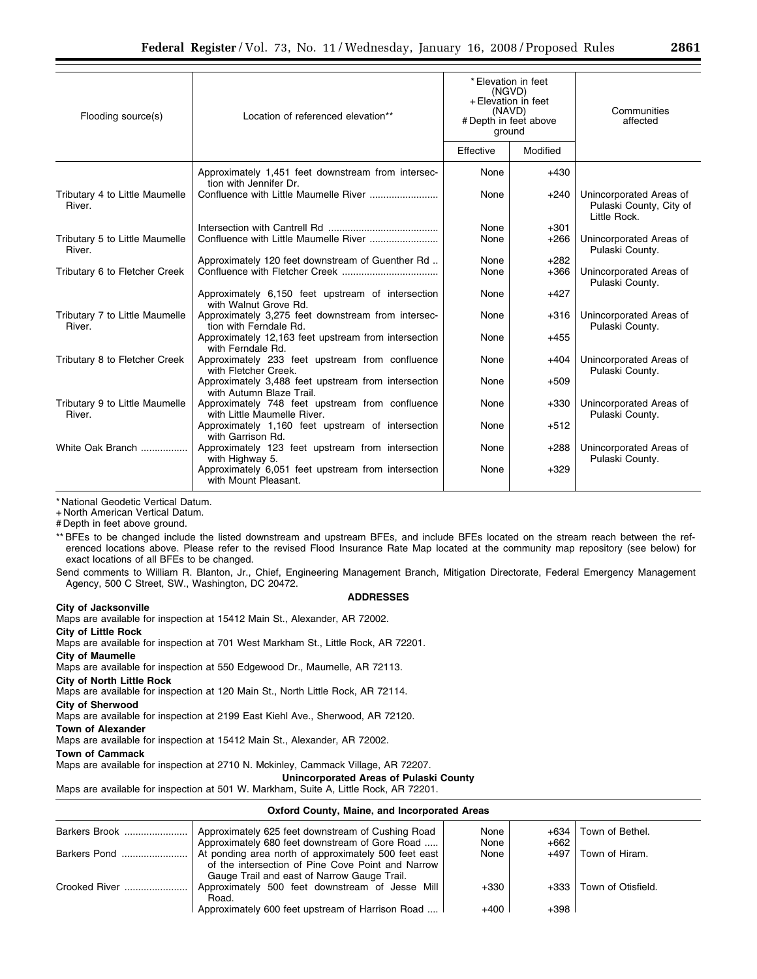| Flooding source(s)                       | Location of referenced elevation**                                              | * Elevation in feet<br>(NGVD)<br>+ Elevation in feet<br>(NAVD)<br># Depth in feet above<br>ground |          | Communities<br>affected                                            |
|------------------------------------------|---------------------------------------------------------------------------------|---------------------------------------------------------------------------------------------------|----------|--------------------------------------------------------------------|
|                                          |                                                                                 | Effective                                                                                         | Modified |                                                                    |
|                                          | Approximately 1,451 feet downstream from intersec-<br>tion with Jennifer Dr.    | None                                                                                              | $+430$   |                                                                    |
| Tributary 4 to Little Maumelle<br>River. |                                                                                 | None                                                                                              | $+240$   | Unincorporated Areas of<br>Pulaski County, City of<br>Little Rock. |
|                                          |                                                                                 | None                                                                                              | $+301$   |                                                                    |
| Tributary 5 to Little Maumelle<br>River. |                                                                                 | None                                                                                              | $+266$   | Unincorporated Areas of<br>Pulaski County.                         |
|                                          | Approximately 120 feet downstream of Guenther Rd                                | None                                                                                              | $+282$   |                                                                    |
| Tributary 6 to Fletcher Creek            |                                                                                 | None                                                                                              | $+366$   | Unincorporated Areas of<br>Pulaski County.                         |
|                                          | Approximately 6,150 feet upstream of intersection<br>with Walnut Grove Rd.      | None                                                                                              | $+427$   |                                                                    |
| Tributary 7 to Little Maumelle<br>River. | Approximately 3,275 feet downstream from intersec-<br>tion with Ferndale Rd.    | None                                                                                              | $+316$   | Unincorporated Areas of<br>Pulaski County.                         |
|                                          | Approximately 12,163 feet upstream from intersection<br>with Ferndale Rd.       | None                                                                                              | $+455$   |                                                                    |
| Tributary 8 to Fletcher Creek            | Approximately 233 feet upstream from confluence<br>with Fletcher Creek.         | None                                                                                              | $+404$   | Unincorporated Areas of<br>Pulaski County.                         |
|                                          | Approximately 3,488 feet upstream from intersection<br>with Autumn Blaze Trail. | None                                                                                              | $+509$   |                                                                    |
| Tributary 9 to Little Maumelle<br>River. | Approximately 748 feet upstream from confluence<br>with Little Maumelle River.  | None                                                                                              | $+330$   | Unincorporated Areas of<br>Pulaski County.                         |
|                                          | Approximately 1,160 feet upstream of intersection<br>with Garrison Rd.          | None                                                                                              | $+512$   |                                                                    |
| White Oak Branch                         | Approximately 123 feet upstream from intersection<br>with Highway 5.            | None                                                                                              | $+288$   | Unincorporated Areas of<br>Pulaski County.                         |
|                                          | Approximately 6,051 feet upstream from intersection<br>with Mount Pleasant.     | None                                                                                              | $+329$   |                                                                    |

+ North American Vertical Datum.

# Depth in feet above ground.

\*\* BFEs to be changed include the listed downstream and upstream BFEs, and include BFEs located on the stream reach between the referenced locations above. Please refer to the revised Flood Insurance Rate Map located at the community map repository (see below) for exact locations of all BFEs to be changed.

Send comments to William R. Blanton, Jr., Chief, Engineering Management Branch, Mitigation Directorate, Federal Emergency Management Agency, 500 C Street, SW., Washington, DC 20472.

## **ADDRESSES**

### **City of Jacksonville**

Maps are available for inspection at 15412 Main St., Alexander, AR 72002.

**City of Little Rock** 

Maps are available for inspection at 701 West Markham St., Little Rock, AR 72201.

### **City of Maumelle**

Maps are available for inspection at 550 Edgewood Dr., Maumelle, AR 72113.

**City of North Little Rock** 

Maps are available for inspection at 120 Main St., North Little Rock, AR 72114.

# **City of Sherwood**

Maps are available for inspection at 2199 East Kiehl Ave., Sherwood, AR 72120.

**Town of Alexander** 

Maps are available for inspection at 15412 Main St., Alexander, AR 72002.

## **Town of Cammack**

Maps are available for inspection at 2710 N. Mckinley, Cammack Village, AR 72207.

**Unincorporated Areas of Pulaski County** 

Maps are available for inspection at 501 W. Markham, Suite A, Little Rock, AR 72201.

### **Oxford County, Maine, and Incorporated Areas**

|               | Approximately 625 feet downstream of Cushing Road                                                      | None         | +634             | <sup>1</sup> Town of Bethel. |
|---------------|--------------------------------------------------------------------------------------------------------|--------------|------------------|------------------------------|
|               | Approximately 680 feet downstream of Gore Road<br>At ponding area north of approximately 500 feet east | None<br>None | $+662$<br>$+497$ | Town of Hiram.               |
|               | of the intersection of Pine Cove Point and Narrow                                                      |              |                  |                              |
|               | Gauge Trail and east of Narrow Gauge Trail.                                                            |              |                  |                              |
| Crooked River | Approximately 500 feet downstream of Jesse Mill<br>Road.                                               | $+330$       | +333             | Town of Otisfield.           |
|               | Approximately 600 feet upstream of Harrison Road                                                       | +400         | +398             |                              |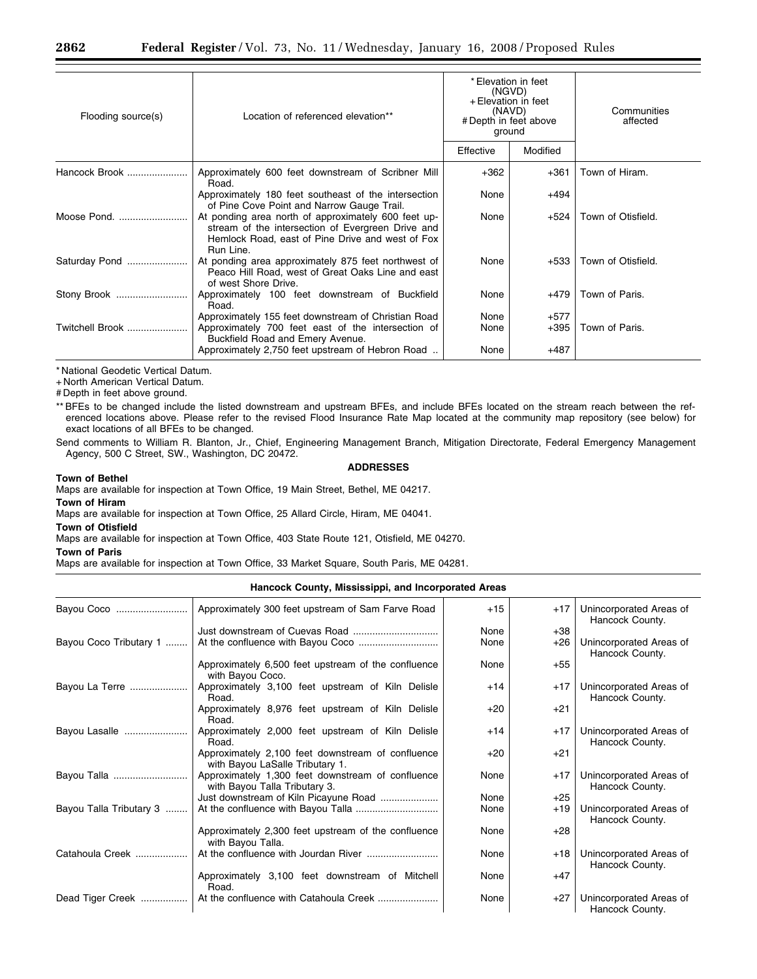| Flooding source(s) | Location of referenced elevation**                                                                                                                                        | * Elevation in feet<br>(NGVD)<br>+ Elevation in feet<br>(NAVD)<br># Depth in feet above<br>ground |          | Communities<br>affected |
|--------------------|---------------------------------------------------------------------------------------------------------------------------------------------------------------------------|---------------------------------------------------------------------------------------------------|----------|-------------------------|
|                    |                                                                                                                                                                           | Effective                                                                                         | Modified |                         |
| Hancock Brook      | Approximately 600 feet downstream of Scribner Mill<br>Road.                                                                                                               | $+362$                                                                                            | $+361$   | Town of Hiram.          |
|                    | Approximately 180 feet southeast of the intersection<br>of Pine Cove Point and Narrow Gauge Trail.                                                                        | None                                                                                              | +494     |                         |
| Moose Pond.        | At ponding area north of approximately 600 feet up-<br>stream of the intersection of Evergreen Drive and<br>Hemlock Road, east of Pine Drive and west of Fox<br>Run Line. | None                                                                                              | +524     | Town of Otisfield.      |
| Saturday Pond      | At ponding area approximately 875 feet northwest of<br>Peaco Hill Road, west of Great Oaks Line and east<br>of west Shore Drive.                                          | None                                                                                              | +533     | Town of Otisfield.      |
| Stony Brook        | Approximately 100 feet downstream of Buckfield<br>Road.                                                                                                                   | None                                                                                              | $+479$   | Town of Paris.          |
|                    | Approximately 155 feet downstream of Christian Road                                                                                                                       | None                                                                                              | $+577$   |                         |
| Twitchell Brook    | Approximately 700 feet east of the intersection of<br>Buckfield Road and Emery Avenue.                                                                                    | None                                                                                              | $+395$   | Town of Paris.          |
|                    | Approximately 2,750 feet upstream of Hebron Road                                                                                                                          | None                                                                                              | +487     |                         |
|                    |                                                                                                                                                                           |                                                                                                   |          |                         |

+ North American Vertical Datum.

# Depth in feet above ground.

\*\* BFEs to be changed include the listed downstream and upstream BFEs, and include BFEs located on the stream reach between the referenced locations above. Please refer to the revised Flood Insurance Rate Map located at the community map repository (see below) for exact locations of all BFEs to be changed.

Send comments to William R. Blanton, Jr., Chief, Engineering Management Branch, Mitigation Directorate, Federal Emergency Management Agency, 500 C Street, SW., Washington, DC 20472.

### **ADDRESSES**

#### **Town of Bethel**

Maps are available for inspection at Town Office, 19 Main Street, Bethel, ME 04217.

## **Town of Hiram**

Maps are available for inspection at Town Office, 25 Allard Circle, Hiram, ME 04041.

#### **Town of Otisfield**

Maps are available for inspection at Town Office, 403 State Route 121, Otisfield, ME 04270.

## **Town of Paris**

Maps are available for inspection at Town Office, 33 Market Square, South Paris, ME 04281.

#### **Hancock County, Mississippi, and Incorporated Areas**

| Bayou Coco              | Approximately 300 feet upstream of Sam Farve Road                                    | $+15$ | $+17$ | Unincorporated Areas of<br>Hancock County. |
|-------------------------|--------------------------------------------------------------------------------------|-------|-------|--------------------------------------------|
|                         |                                                                                      | None  | $+38$ |                                            |
| Bayou Coco Tributary 1  |                                                                                      | None  | $+26$ | Unincorporated Areas of<br>Hancock County. |
|                         | Approximately 6,500 feet upstream of the confluence<br>with Bayou Coco.              | None  | $+55$ |                                            |
| Bayou La Terre          | Approximately 3,100 feet upstream of Kiln Delisle<br>Road.                           | $+14$ | $+17$ | Unincorporated Areas of<br>Hancock County. |
|                         | Approximately 8,976 feet upstream of Kiln Delisle<br>Road.                           | $+20$ | $+21$ |                                            |
| Bayou Lasalle           | Approximately 2,000 feet upstream of Kiln Delisle<br>Road.                           | $+14$ | $+17$ | Unincorporated Areas of<br>Hancock County. |
|                         | Approximately 2,100 feet downstream of confluence<br>with Bayou LaSalle Tributary 1. | $+20$ | $+21$ |                                            |
| Bayou Talla             | Approximately 1,300 feet downstream of confluence<br>with Bayou Talla Tributary 3.   | None  | $+17$ | Unincorporated Areas of<br>Hancock County. |
|                         |                                                                                      | None  | $+25$ |                                            |
| Bayou Talla Tributary 3 |                                                                                      | None  | $+19$ | Unincorporated Areas of<br>Hancock County. |
|                         | Approximately 2,300 feet upstream of the confluence<br>with Bayou Talla.             | None  | $+28$ |                                            |
| Catahoula Creek         |                                                                                      | None  | $+18$ | Unincorporated Areas of<br>Hancock County. |
|                         | Approximately 3,100 feet downstream of Mitchell<br>Road.                             | None  | $+47$ |                                            |
| Dead Tiger Creek        |                                                                                      | None  | $+27$ | Unincorporated Areas of<br>Hancock County. |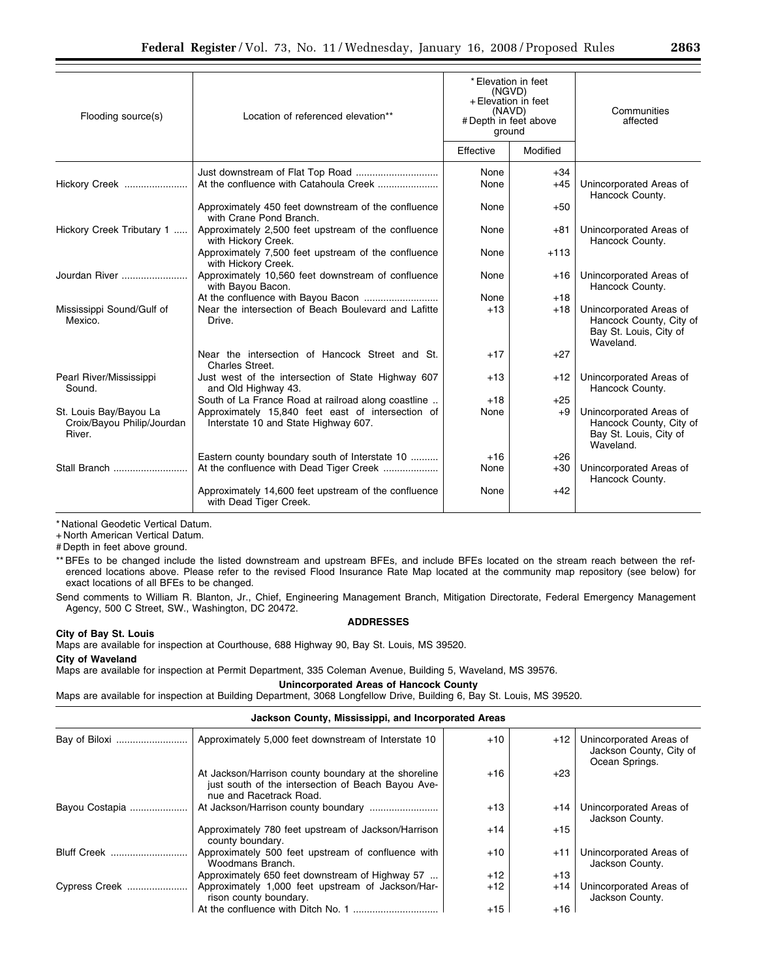| Flooding source(s)                                             | Location of referenced elevation**                                                        | * Elevation in feet<br>(NGVD)<br>+ Elevation in feet<br>(NAVD)<br># Depth in feet above<br>ground |          | Communities<br>affected                                                                   |  |
|----------------------------------------------------------------|-------------------------------------------------------------------------------------------|---------------------------------------------------------------------------------------------------|----------|-------------------------------------------------------------------------------------------|--|
|                                                                |                                                                                           | Effective                                                                                         | Modified |                                                                                           |  |
|                                                                |                                                                                           | None                                                                                              | $+34$    |                                                                                           |  |
| Hickory Creek                                                  | At the confluence with Catahoula Creek                                                    | None                                                                                              | $+45$    | Unincorporated Areas of<br>Hancock County.                                                |  |
|                                                                | Approximately 450 feet downstream of the confluence<br>with Crane Pond Branch.            | None                                                                                              | $+50$    |                                                                                           |  |
| Hickory Creek Tributary 1                                      | Approximately 2,500 feet upstream of the confluence<br>with Hickory Creek.                | None                                                                                              | $+81$    | Unincorporated Areas of<br>Hancock County.                                                |  |
|                                                                | Approximately 7,500 feet upstream of the confluence<br>with Hickory Creek.                | None                                                                                              | $+113$   |                                                                                           |  |
| Jourdan River                                                  | Approximately 10,560 feet downstream of confluence<br>with Bayou Bacon.                   | None                                                                                              | $+16$    | Unincorporated Areas of<br>Hancock County.                                                |  |
|                                                                |                                                                                           | None                                                                                              | $+18$    |                                                                                           |  |
| Mississippi Sound/Gulf of<br>Mexico.                           | Near the intersection of Beach Boulevard and Lafitte<br>Drive.                            | $+13$                                                                                             | $+18$    | Unincorporated Areas of<br>Hancock County, City of<br>Bay St. Louis, City of<br>Waveland. |  |
|                                                                | Near the intersection of Hancock Street and St.<br>Charles Street.                        | $+17$                                                                                             | $+27$    |                                                                                           |  |
| Pearl River/Mississippi<br>Sound.                              | Just west of the intersection of State Highway 607<br>and Old Highway 43.                 | $+13$                                                                                             | $+12$    | Unincorporated Areas of<br>Hancock County.                                                |  |
|                                                                | South of La France Road at railroad along coastline                                       | $+18$                                                                                             | $+25$    |                                                                                           |  |
| St. Louis Bay/Bayou La<br>Croix/Bayou Philip/Jourdan<br>River. | Approximately 15,840 feet east of intersection of<br>Interstate 10 and State Highway 607. | None                                                                                              | $+9$     | Unincorporated Areas of<br>Hancock County, City of<br>Bay St. Louis, City of<br>Waveland. |  |
|                                                                | Eastern county boundary south of Interstate 10                                            | $+16$                                                                                             | $+26$    |                                                                                           |  |
| Stall Branch                                                   | At the confluence with Dead Tiger Creek                                                   | None                                                                                              | $+30$    | Unincorporated Areas of<br>Hancock County.                                                |  |
|                                                                | Approximately 14,600 feet upstream of the confluence<br>with Dead Tiger Creek.            | None                                                                                              | $+42$    |                                                                                           |  |

+ North American Vertical Datum.

# Depth in feet above ground.

\*\* BFEs to be changed include the listed downstream and upstream BFEs, and include BFEs located on the stream reach between the referenced locations above. Please refer to the revised Flood Insurance Rate Map located at the community map repository (see below) for exact locations of all BFEs to be changed.

Send comments to William R. Blanton, Jr., Chief, Engineering Management Branch, Mitigation Directorate, Federal Emergency Management Agency, 500 C Street, SW., Washington, DC 20472.

**ADDRESSES** 

## **City of Bay St. Louis**

Maps are available for inspection at Courthouse, 688 Highway 90, Bay St. Louis, MS 39520.

# **City of Waveland**

Maps are available for inspection at Permit Department, 335 Coleman Avenue, Building 5, Waveland, MS 39576.

**Unincorporated Areas of Hancock County** 

Maps are available for inspection at Building Department, 3068 Longfellow Drive, Building 6, Bay St. Louis, MS 39520.

### **Jackson County, Mississippi, and Incorporated Areas**

|                | Approximately 5,000 feet downstream of Interstate 10                                                                                  | $+10$ | $+12$ | Unincorporated Areas of<br>Jackson County, City of<br>Ocean Springs. |
|----------------|---------------------------------------------------------------------------------------------------------------------------------------|-------|-------|----------------------------------------------------------------------|
|                | At Jackson/Harrison county boundary at the shoreline<br>just south of the intersection of Beach Bayou Ave-<br>nue and Racetrack Road. | +16   | $+23$ |                                                                      |
| Bayou Costapia |                                                                                                                                       | $+13$ | +14   | Unincorporated Areas of<br>Jackson County.                           |
|                | Approximately 780 feet upstream of Jackson/Harrison<br>county boundary.                                                               | $+14$ | $+15$ |                                                                      |
| Bluff Creek    | Approximately 500 feet upstream of confluence with<br>Woodmans Branch.                                                                | $+10$ | $+11$ | Unincorporated Areas of<br>Jackson County.                           |
|                | Approximately 650 feet downstream of Highway 57                                                                                       | $+12$ | $+13$ |                                                                      |
| Cypress Creek  | Approximately 1,000 feet upstream of Jackson/Har-<br>rison county boundary.                                                           | $+12$ | $+14$ | Unincorporated Areas of<br>Jackson County.                           |
|                |                                                                                                                                       | $+15$ | +16   |                                                                      |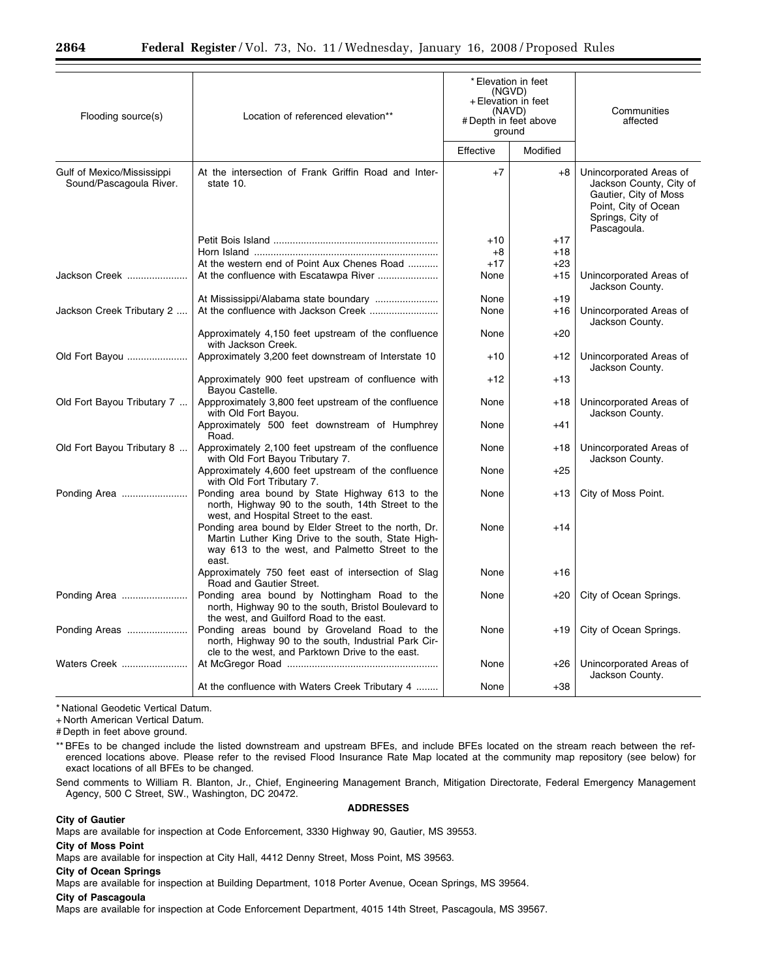| Flooding source(s)                                    | Location of referenced elevation**                                                                                                                                     | (NGVD)<br>(NAVD)<br># Depth in feet above<br>ground | * Elevation in feet<br>+ Elevation in feet | Communities<br>affected                                                                                                                |
|-------------------------------------------------------|------------------------------------------------------------------------------------------------------------------------------------------------------------------------|-----------------------------------------------------|--------------------------------------------|----------------------------------------------------------------------------------------------------------------------------------------|
|                                                       |                                                                                                                                                                        | Effective                                           | Modified                                   |                                                                                                                                        |
| Gulf of Mexico/Mississippi<br>Sound/Pascagoula River. | At the intersection of Frank Griffin Road and Inter-<br>state 10.                                                                                                      | $+7$                                                | $+8$                                       | Unincorporated Areas of<br>Jackson County, City of<br>Gautier, City of Moss<br>Point, City of Ocean<br>Springs, City of<br>Pascagoula. |
|                                                       |                                                                                                                                                                        | $+10$                                               | $+17$                                      |                                                                                                                                        |
|                                                       |                                                                                                                                                                        | $+8$                                                | $+18$                                      |                                                                                                                                        |
|                                                       | At the western end of Point Aux Chenes Road                                                                                                                            | $+17$                                               | $+23$                                      |                                                                                                                                        |
| Jackson Creek                                         |                                                                                                                                                                        | None                                                | $+15$                                      | Unincorporated Areas of                                                                                                                |
|                                                       |                                                                                                                                                                        |                                                     |                                            | Jackson County.                                                                                                                        |
|                                                       |                                                                                                                                                                        | None                                                | $+19$                                      |                                                                                                                                        |
| Jackson Creek Tributary 2                             | At the confluence with Jackson Creek                                                                                                                                   | None                                                | +16                                        | Unincorporated Areas of                                                                                                                |
|                                                       |                                                                                                                                                                        |                                                     |                                            | Jackson County.                                                                                                                        |
|                                                       | Approximately 4,150 feet upstream of the confluence<br>with Jackson Creek.                                                                                             | None                                                | $+20$                                      |                                                                                                                                        |
| Old Fort Bayou                                        | Approximately 3,200 feet downstream of Interstate 10                                                                                                                   | $+10$                                               | $+12$                                      | Unincorporated Areas of<br>Jackson County.                                                                                             |
|                                                       | Approximately 900 feet upstream of confluence with<br>Bayou Castelle.                                                                                                  | $+12$                                               | $+13$                                      |                                                                                                                                        |
| Old Fort Bayou Tributary 7                            | Appproximately 3,800 feet upstream of the confluence<br>with Old Fort Bayou.                                                                                           | None                                                | +18                                        | Unincorporated Areas of<br>Jackson County.                                                                                             |
|                                                       | Approximately 500 feet downstream of Humphrey<br>Road.                                                                                                                 | None                                                | $+41$                                      |                                                                                                                                        |
| Old Fort Bayou Tributary 8                            | Approximately 2,100 feet upstream of the confluence<br>with Old Fort Bayou Tributary 7.                                                                                | None                                                | +18                                        | Unincorporated Areas of<br>Jackson County.                                                                                             |
|                                                       | Approximately 4,600 feet upstream of the confluence<br>with Old Fort Tributary 7.                                                                                      | None                                                | $+25$                                      |                                                                                                                                        |
| Ponding Area                                          | Ponding area bound by State Highway 613 to the<br>north, Highway 90 to the south, 14th Street to the<br>west, and Hospital Street to the east.                         | None                                                | +13                                        | City of Moss Point.                                                                                                                    |
|                                                       | Ponding area bound by Elder Street to the north, Dr.<br>Martin Luther King Drive to the south, State High-<br>way 613 to the west, and Palmetto Street to the<br>east. | None                                                | $+14$                                      |                                                                                                                                        |
|                                                       | Approximately 750 feet east of intersection of Slag<br>Road and Gautier Street.                                                                                        | None                                                | $+16$                                      |                                                                                                                                        |
| Ponding Area                                          | Ponding area bound by Nottingham Road to the<br>north, Highway 90 to the south, Bristol Boulevard to<br>the west, and Guilford Road to the east.                       | None                                                | $+20$                                      | City of Ocean Springs.                                                                                                                 |
| Ponding Areas                                         | Ponding areas bound by Groveland Road to the<br>north, Highway 90 to the south, Industrial Park Cir-<br>cle to the west, and Parktown Drive to the east.               | None                                                | +19                                        | City of Ocean Springs.                                                                                                                 |
| Waters Creek                                          |                                                                                                                                                                        | None                                                | $+26$                                      | Unincorporated Areas of<br>Jackson County.                                                                                             |
|                                                       | At the confluence with Waters Creek Tributary 4                                                                                                                        | None                                                | $+38$                                      |                                                                                                                                        |

+ North American Vertical Datum.

# Depth in feet above ground.

\*\* BFEs to be changed include the listed downstream and upstream BFEs, and include BFEs located on the stream reach between the referenced locations above. Please refer to the revised Flood Insurance Rate Map located at the community map repository (see below) for exact locations of all BFEs to be changed.

Send comments to William R. Blanton, Jr., Chief, Engineering Management Branch, Mitigation Directorate, Federal Emergency Management Agency, 500 C Street, SW., Washington, DC 20472.

## **ADDRESSES**

## **City of Gautier**

Maps are available for inspection at Code Enforcement, 3330 Highway 90, Gautier, MS 39553.

## **City of Moss Point**

Maps are available for inspection at City Hall, 4412 Denny Street, Moss Point, MS 39563.

## **City of Ocean Springs**

Maps are available for inspection at Building Department, 1018 Porter Avenue, Ocean Springs, MS 39564.

## **City of Pascagoula**

Maps are available for inspection at Code Enforcement Department, 4015 14th Street, Pascagoula, MS 39567.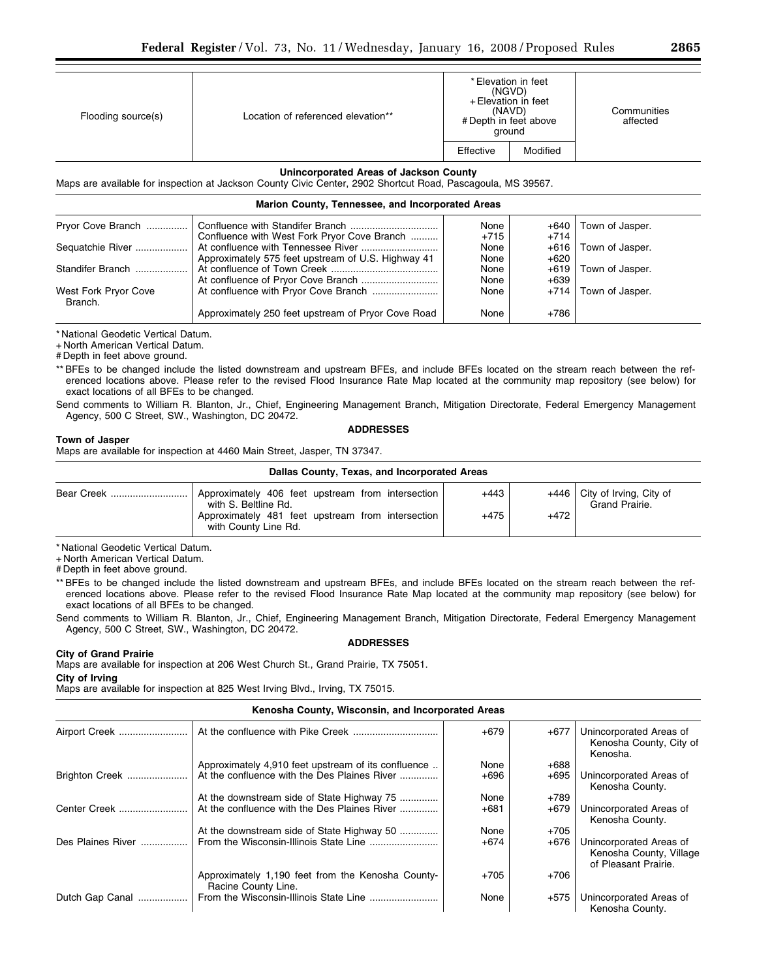| Flooding source(s) | Location of referenced elevation** | * Elevation in feet<br>(NGVD)<br>+ Elevation in feet<br>(NAVD)<br># Depth in feet above<br>ground |          | Communities<br>affected |
|--------------------|------------------------------------|---------------------------------------------------------------------------------------------------|----------|-------------------------|
|                    |                                    | Effective                                                                                         | Modified |                         |

## **Unincorporated Areas of Jackson County**

Maps are available for inspection at Jackson County Civic Center, 2902 Shortcut Road, Pascagoula, MS 39567.

## **Marion County, Tennessee, and Incorporated Areas**

| Pryor Cove Branch               |                                                    | None   | +640   | Town of Jasper. |
|---------------------------------|----------------------------------------------------|--------|--------|-----------------|
|                                 | Confluence with West Fork Pryor Cove Branch        | $+715$ | $+714$ |                 |
| Sequatchie River                |                                                    | None   | $+616$ | Town of Jasper. |
|                                 | Approximately 575 feet upstream of U.S. Highway 41 | None   | $+620$ |                 |
| Standifer Branch                |                                                    | None   | $+619$ | Town of Jasper. |
|                                 |                                                    | None   | $+639$ |                 |
| West Fork Pryor Cove<br>Branch. |                                                    | None   | $+714$ | Town of Jasper. |
|                                 | Approximately 250 feet upstream of Pryor Cove Road | None   | +786   |                 |

\* National Geodetic Vertical Datum.

+ North American Vertical Datum.

# Depth in feet above ground.

\*\* BFEs to be changed include the listed downstream and upstream BFEs, and include BFEs located on the stream reach between the referenced locations above. Please refer to the revised Flood Insurance Rate Map located at the community map repository (see below) for exact locations of all BFEs to be changed.

Send comments to William R. Blanton, Jr., Chief, Engineering Management Branch, Mitigation Directorate, Federal Emergency Management Agency, 500 C Street, SW., Washington, DC 20472.

#### **Town of Jasper**

# **ADDRESSES**

Maps are available for inspection at 4460 Main Street, Jasper, TN 37347.

| Dallas County, Texas, and Incorporated Areas |                                                                           |        |        |                                                  |
|----------------------------------------------|---------------------------------------------------------------------------|--------|--------|--------------------------------------------------|
| Bear Creek                                   | Approximately 406 feet upstream from intersection<br>with S. Beltline Rd. | +443   |        | $+446$ City of Irving, City of<br>Grand Prairie. |
|                                              | Approximately 481 feet upstream from intersection<br>with County Line Rd. | $+475$ | $+472$ |                                                  |

\* National Geodetic Vertical Datum.

+ North American Vertical Datum.

# Depth in feet above ground.

\*\* BFEs to be changed include the listed downstream and upstream BFEs, and include BFEs located on the stream reach between the referenced locations above. Please refer to the revised Flood Insurance Rate Map located at the community map repository (see below) for exact locations of all BFEs to be changed.

Send comments to William R. Blanton, Jr., Chief, Engineering Management Branch, Mitigation Directorate, Federal Emergency Management Agency, 500 C Street, SW., Washington, DC 20472.

### **ADDRESSES**

## **City of Grand Prairie**

Maps are available for inspection at 206 West Church St., Grand Prairie, TX 75051.

**City of Irving** 

Maps are available for inspection at 825 West Irving Blvd., Irving, TX 75015.

### **Kenosha County, Wisconsin, and Incorporated Areas**

| Airport Creek     |                                                                          | $+679$ | $+677$ | Unincorporated Areas of<br>Kenosha County, City of<br>Kenosha.             |
|-------------------|--------------------------------------------------------------------------|--------|--------|----------------------------------------------------------------------------|
|                   | Approximately 4,910 feet upstream of its confluence                      | None   | $+688$ |                                                                            |
| Brighton Creek    | At the confluence with the Des Plaines River                             | +696   | $+695$ | Unincorporated Areas of<br>Kenosha County.                                 |
|                   | At the downstream side of State Highway 75                               | None   | $+789$ |                                                                            |
| Center Creek      | At the confluence with the Des Plaines River                             | $+681$ | $+679$ | Unincorporated Areas of<br>Kenosha County.                                 |
|                   | At the downstream side of State Highway 50                               | None   | $+705$ |                                                                            |
| Des Plaines River |                                                                          | $+674$ | $+676$ | Unincorporated Areas of<br>Kenosha County, Village<br>of Pleasant Prairie. |
|                   | Approximately 1,190 feet from the Kenosha County-<br>Racine County Line. | $+705$ | $+706$ |                                                                            |
| Dutch Gap Canal   |                                                                          | None   | $+575$ | Unincorporated Areas of<br>Kenosha County.                                 |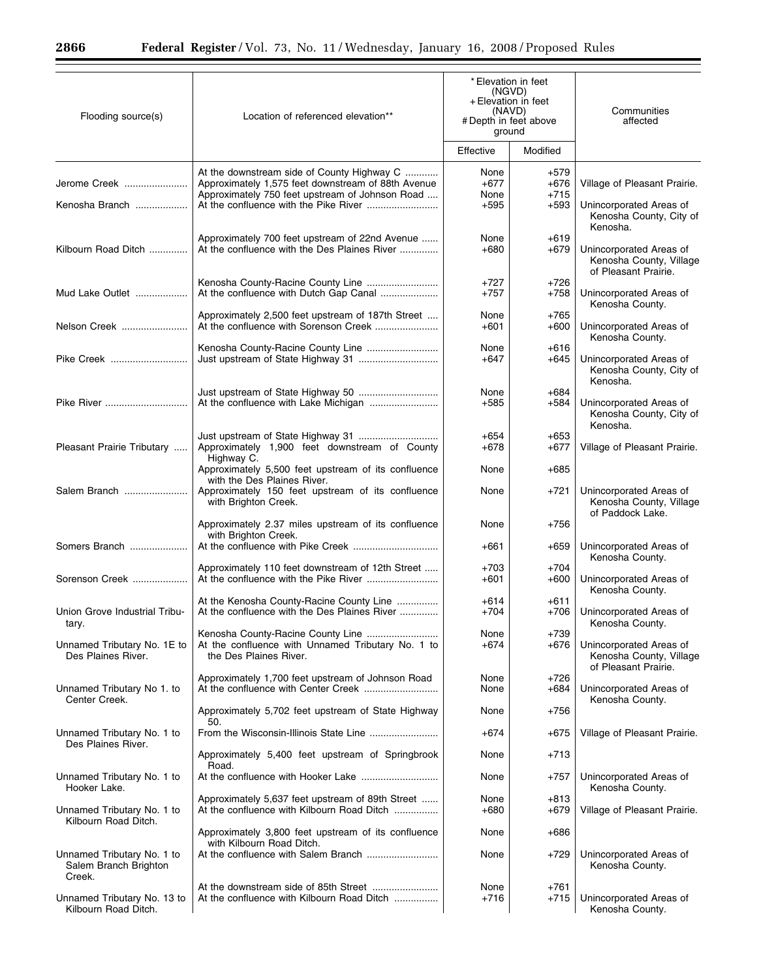٠

| Flooding source(s)                                            | Location of referenced elevation**                                                                                                                  | * Elevation in feet<br>(NGVD)<br>+ Elevation in feet<br>(NAVD)<br># Depth in feet above<br>ground |                                    | Communities<br>affected                                                                        |
|---------------------------------------------------------------|-----------------------------------------------------------------------------------------------------------------------------------------------------|---------------------------------------------------------------------------------------------------|------------------------------------|------------------------------------------------------------------------------------------------|
|                                                               |                                                                                                                                                     | Effective                                                                                         | Modified                           |                                                                                                |
| Jerome Creek<br>Kenosha Branch                                | At the downstream side of County Highway C<br>Approximately 1,575 feet downstream of 88th Avenue<br>Approximately 750 feet upstream of Johnson Road | None<br>$+677$<br>None<br>$+595$                                                                  | $+579$<br>$+676$<br>+715<br>$+593$ | Village of Pleasant Prairie.<br>Unincorporated Areas of<br>Kenosha County, City of<br>Kenosha. |
| Kilbourn Road Ditch                                           | Approximately 700 feet upstream of 22nd Avenue<br>At the confluence with the Des Plaines River                                                      | None<br>$+680$                                                                                    | $+619$<br>$+679$                   | Unincorporated Areas of<br>Kenosha County, Village<br>of Pleasant Prairie.                     |
| Mud Lake Outlet                                               |                                                                                                                                                     | $+727$<br>$+757$                                                                                  | $+726$<br>$+758$                   | Unincorporated Areas of<br>Kenosha County.                                                     |
| Nelson Creek                                                  | Approximately 2,500 feet upstream of 187th Street<br>At the confluence with Sorenson Creek                                                          | None<br>$+601$                                                                                    | $+765$<br>+600                     | Unincorporated Areas of<br>Kenosha County.                                                     |
| Pike Creek                                                    |                                                                                                                                                     | None<br>+647                                                                                      | +616<br>+645                       | Unincorporated Areas of<br>Kenosha County, City of<br>Kenosha.                                 |
| Pike River                                                    | Just upstream of State Highway 50                                                                                                                   | None<br>$+585$                                                                                    | $+684$<br>+584                     | Unincorporated Areas of<br>Kenosha County, City of<br>Kenosha.                                 |
| Pleasant Prairie Tributary                                    | Approximately 1,900 feet downstream of County<br>Highway C.                                                                                         | $+654$<br>$+678$                                                                                  | +653<br>+677                       | Village of Pleasant Prairie.                                                                   |
|                                                               | Approximately 5,500 feet upstream of its confluence<br>with the Des Plaines River.                                                                  | None                                                                                              | $+685$                             |                                                                                                |
| Salem Branch                                                  | Approximately 150 feet upstream of its confluence<br>with Brighton Creek.                                                                           | None                                                                                              | +721                               | Unincorporated Areas of<br>Kenosha County, Village<br>of Paddock Lake.                         |
|                                                               | Approximately 2.37 miles upstream of its confluence<br>with Brighton Creek.                                                                         | None                                                                                              | +756                               |                                                                                                |
| Somers Branch                                                 |                                                                                                                                                     | $+661$                                                                                            | +659                               | Unincorporated Areas of<br>Kenosha County.                                                     |
| Sorenson Creek                                                | Approximately 110 feet downstream of 12th Street                                                                                                    | $+703$<br>$+601$                                                                                  | $+704$<br>$+600$                   | Unincorporated Areas of<br>Kenosha County.                                                     |
| Union Grove Industrial Tribu-<br>τary.                        | At the Kenosha County-Racine County Line<br>At the confluence with the Des Plaines River                                                            | +614<br>$+704$                                                                                    | +611<br>+706                       | Unincorporated Areas of<br>Kenosha County.                                                     |
| Unnamed Tributary No. 1E to<br>Des Plaines River.             | Kenosha County-Racine County Line<br>At the confluence with Unnamed Tributary No. 1 to<br>the Des Plaines River.                                    | None<br>$+674$                                                                                    | +739<br>$+676$                     | Unincorporated Areas of<br>Kenosha County, Village<br>of Pleasant Prairie.                     |
| Unnamed Tributary No 1. to<br>Center Creek.                   | Approximately 1,700 feet upstream of Johnson Road                                                                                                   | None<br>None                                                                                      | $+726$<br>+684                     | Unincorporated Areas of<br>Kenosha County.                                                     |
|                                                               | Approximately 5,702 feet upstream of State Highway<br>50.                                                                                           | None                                                                                              | +756                               |                                                                                                |
| Unnamed Tributary No. 1 to<br>Des Plaines River.              |                                                                                                                                                     | $+674$                                                                                            | $+675$                             | Village of Pleasant Prairie.                                                                   |
|                                                               | Approximately 5,400 feet upstream of Springbrook<br>Road.                                                                                           | None                                                                                              | +713                               |                                                                                                |
| Unnamed Tributary No. 1 to<br>Hooker Lake.                    |                                                                                                                                                     | None                                                                                              | +757                               | Unincorporated Areas of<br>Kenosha County.                                                     |
| Unnamed Tributary No. 1 to<br>Kilbourn Road Ditch.            | Approximately 5,637 feet upstream of 89th Street<br>At the confluence with Kilbourn Road Ditch                                                      | None<br>$+680$                                                                                    | $+813$<br>+679                     | Village of Pleasant Prairie.                                                                   |
|                                                               | Approximately 3,800 feet upstream of its confluence<br>with Kilbourn Road Ditch.                                                                    | None                                                                                              | +686                               |                                                                                                |
| Unnamed Tributary No. 1 to<br>Salem Branch Brighton<br>Creek. |                                                                                                                                                     | None                                                                                              | +729                               | Unincorporated Areas of<br>Kenosha County.                                                     |
| Unnamed Tributary No. 13 to<br>Kilbourn Road Ditch.           | At the confluence with Kilbourn Road Ditch                                                                                                          | None<br>$+716$                                                                                    | $+761$<br>+715                     | Unincorporated Areas of<br>Kenosha County.                                                     |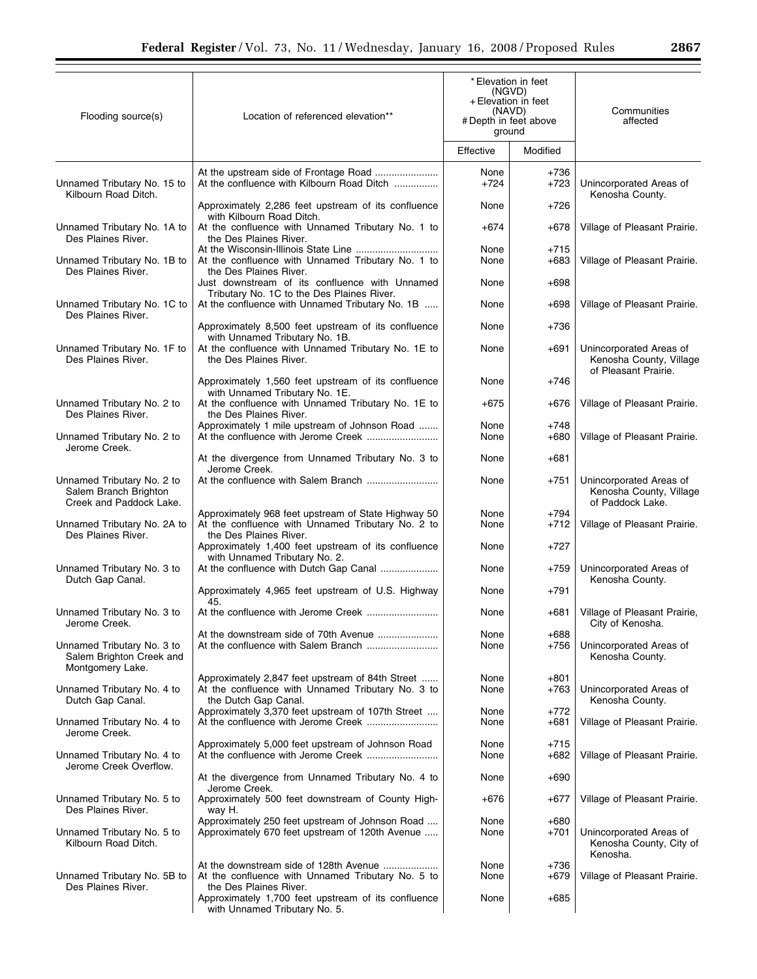| Flooding source(s)                                                             | Location of referenced elevation**                                                                                                              | *Elevation in feet<br>(NGVD)<br>+ Elevation in feet<br>(NAVD)<br># Depth in feet above<br>ground |                  | Communities<br>affected                                                    |
|--------------------------------------------------------------------------------|-------------------------------------------------------------------------------------------------------------------------------------------------|--------------------------------------------------------------------------------------------------|------------------|----------------------------------------------------------------------------|
|                                                                                |                                                                                                                                                 | Effective                                                                                        | Modified         |                                                                            |
| Unnamed Tributary No. 15 to<br>Kilbourn Road Ditch.                            | At the confluence with Kilbourn Road Ditch                                                                                                      | None<br>+724                                                                                     | +736<br>+723     | Unincorporated Areas of<br>Kenosha County.                                 |
|                                                                                | Approximately 2,286 feet upstream of its confluence<br>with Kilbourn Road Ditch.                                                                | None                                                                                             | +726             |                                                                            |
| Unnamed Tributary No. 1A to<br>Des Plaines River.                              | At the confluence with Unnamed Tributary No. 1 to<br>the Des Plaines River.                                                                     | $+674$                                                                                           | +678             | Village of Pleasant Prairie.                                               |
| Unnamed Tributary No. 1B to<br>Des Plaines River.                              | At the Wisconsin-Illinois State Line<br>At the confluence with Unnamed Tributary No. 1 to<br>the Des Plaines River.                             | None<br>None                                                                                     | $+715$<br>$+683$ | Village of Pleasant Prairie.                                               |
| Unnamed Tributary No. 1C to                                                    | Just downstream of its confluence with Unnamed<br>Tributary No. 1C to the Des Plaines River.<br>At the confluence with Unnamed Tributary No. 1B | None<br>None                                                                                     | $+698$<br>+698   | Village of Pleasant Prairie.                                               |
| Des Plaines River.                                                             |                                                                                                                                                 |                                                                                                  |                  |                                                                            |
|                                                                                | Approximately 8,500 feet upstream of its confluence<br>with Unnamed Tributary No. 1B.                                                           | None                                                                                             | $+736$           |                                                                            |
| Unnamed Tributary No. 1F to<br>Des Plaines River.                              | At the confluence with Unnamed Tributary No. 1E to<br>the Des Plaines River.                                                                    | None                                                                                             | +691             | Unincorporated Areas of<br>Kenosha County, Village<br>of Pleasant Prairie. |
|                                                                                | Approximately 1,560 feet upstream of its confluence<br>with Unnamed Tributary No. 1E.                                                           | None                                                                                             | +746             |                                                                            |
| Unnamed Tributary No. 2 to<br>Des Plaines River.                               | At the confluence with Unnamed Tributary No. 1E to<br>the Des Plaines River.                                                                    | $+675$                                                                                           | +676             | Village of Pleasant Prairie.                                               |
| Unnamed Tributary No. 2 to<br>Jerome Creek.                                    | Approximately 1 mile upstream of Johnson Road                                                                                                   | None<br>None                                                                                     | +748<br>$+680$   | Village of Pleasant Prairie.                                               |
|                                                                                | At the divergence from Unnamed Tributary No. 3 to<br>Jerome Creek.                                                                              | None                                                                                             | $+681$           |                                                                            |
| Unnamed Tributary No. 2 to<br>Salem Branch Brighton<br>Creek and Paddock Lake. |                                                                                                                                                 | None                                                                                             | +751             | Unincorporated Areas of<br>Kenosha County, Village<br>of Paddock Lake.     |
| Unnamed Tributary No. 2A to<br>Des Plaines River.                              | Approximately 968 feet upstream of State Highway 50<br>At the confluence with Unnamed Tributary No. 2 to<br>the Des Plaines River.              | None<br>None                                                                                     | +794<br>+712     | Village of Pleasant Prairie.                                               |
|                                                                                | Approximately 1,400 feet upstream of its confluence<br>with Unnamed Tributary No. 2.                                                            | None                                                                                             | $+727$           |                                                                            |
| Unnamed Tributary No. 3 to<br>Dutch Gap Canal.                                 | At the confluence with Dutch Gap Canal                                                                                                          | None                                                                                             | +759             | Unincorporated Areas of<br>Kenosha County.                                 |
|                                                                                | Approximately 4,965 feet upstream of U.S. Highway<br>45.                                                                                        | None                                                                                             | $+791$           |                                                                            |
| Unnamed Tributary No. 3 to<br>Jerome Creek.                                    |                                                                                                                                                 | None                                                                                             | +681             | Village of Pleasant Prairie,<br>City of Kenosha.                           |
| Unnamed Tributary No. 3 to                                                     | At the downstream side of 70th Avenue                                                                                                           | None<br>None                                                                                     | $+688$<br>+756   | Unincorporated Areas of                                                    |
| Salem Brighton Creek and<br>Montgomery Lake.                                   |                                                                                                                                                 |                                                                                                  |                  | Kenosha County.                                                            |
| Unnamed Tributary No. 4 to<br>Dutch Gap Canal.                                 | Approximately 2,847 feet upstream of 84th Street<br>At the confluence with Unnamed Tributary No. 3 to<br>the Dutch Gap Canal.                   | None<br>None                                                                                     | +801<br>+763     | Unincorporated Areas of<br>Kenosha County.                                 |
| Unnamed Tributary No. 4 to<br>Jerome Creek.                                    | Approximately 3,370 feet upstream of 107th Street<br>At the confluence with Jerome Creek                                                        | None<br>None                                                                                     | +772<br>+681     | Village of Pleasant Prairie.                                               |
| Unnamed Tributary No. 4 to<br>Jerome Creek Overflow.                           | Approximately 5,000 feet upstream of Johnson Road                                                                                               | None<br>None                                                                                     | +715<br>+682     | Village of Pleasant Prairie.                                               |
|                                                                                | At the divergence from Unnamed Tributary No. 4 to<br>Jerome Creek.                                                                              | None                                                                                             | $+690$           |                                                                            |
| Unnamed Tributary No. 5 to<br>Des Plaines River.                               | Approximately 500 feet downstream of County High-<br>way H.                                                                                     | +676                                                                                             | +677             | Village of Pleasant Prairie.                                               |
| Unnamed Tributary No. 5 to<br>Kilbourn Road Ditch.                             | Approximately 250 feet upstream of Johnson Road<br>Approximately 670 feet upstream of 120th Avenue                                              | None<br>None                                                                                     | +680<br>+701     | Unincorporated Areas of<br>Kenosha County, City of<br>Kenosha.             |
| Unnamed Tributary No. 5B to<br>Des Plaines River.                              | At the downstream side of 128th Avenue<br>At the confluence with Unnamed Tributary No. 5 to<br>the Des Plaines River.                           | None<br>None                                                                                     | +736<br>+679     | Village of Pleasant Prairie.                                               |
|                                                                                | Approximately 1,700 feet upstream of its confluence<br>with Unnamed Tributary No. 5.                                                            | None                                                                                             | +685             |                                                                            |